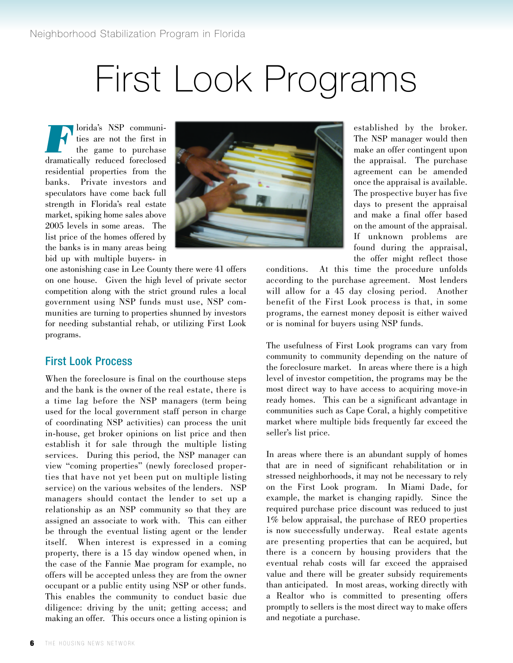## First Look Programs

**FR** dorida's NSP communi-<br>ties are not the first in<br>the game to purchase<br>dramatically reduced foreclosed ties are not the first in the game to purchase dramatically reduced foreclosed residential properties from the banks. Private investors and speculators have come back full strength in Florida's real estate market, spiking home sales above 2005 levels in some areas. The list price of the homes offered by the banks is in many areas being bid up with multiple buyers- in



one astonishing case in Lee County there were 41 offers on one house. Given the high level of private sector competition along with the strict ground rules a local government using NSP funds must use, NSP communities are turning to properties shunned by investors for needing substantial rehab, or utilizing First Look programs.

## First Look Process

When the foreclosure is final on the courthouse steps and the bank is the owner of the real estate, there is a time lag before the NSP managers (term being used for the local government staff person in charge of coordinating NSP activities) can process the unit in-house, get broker opinions on list price and then establish it for sale through the multiple listing services. During this period, the NSP manager can view "coming properties" (newly foreclosed properties that have not yet been put on multiple listing service) on the various websites of the lenders. NSP managers should contact the lender to set up a relationship as an NSP community so that they are assigned an associate to work with. This can either be through the eventual listing agent or the lender itself. When interest is expressed in a coming property, there is a 15 day window opened when, in the case of the Fannie Mae program for example, no offers will be accepted unless they are from the owner occupant or a public entity using NSP or other funds. This enables the community to conduct basic due diligence: driving by the unit; getting access; and making an offer. This occurs once a listing opinion is

established by the broker. The NSP manager would then make an offer contingent upon the appraisal. The purchase agreement can be amended once the appraisal is available. The prospective buyer has five days to present the appraisal and make a final offer based on the amount of the appraisal. If unknown problems are found during the appraisal, the offer might reflect those

conditions. At this time the procedure unfolds according to the purchase agreement. Most lenders will allow for a 45 day closing period. Another benefit of the First Look process is that, in some programs, the earnest money deposit is either waived or is nominal for buyers using NSP funds.

The usefulness of First Look programs can vary from community to community depending on the nature of the foreclosure market. In areas where there is a high level of investor competition, the programs may be the most direct way to have access to acquiring move-in ready homes. This can be a significant advantage in communities such as Cape Coral, a highly competitive market where multiple bids frequently far exceed the seller's list price.

In areas where there is an abundant supply of homes that are in need of significant rehabilitation or in stressed neighborhoods, it may not be necessary to rely on the First Look program. In Miami Dade, for example, the market is changing rapidly. Since the required purchase price discount was reduced to just 1% below appraisal, the purchase of REO properties is now successfully underway. Real estate agents are presenting properties that can be acquired, but there is a concern by housing providers that the eventual rehab costs will far exceed the appraised value and there will be greater subsidy requirements than anticipated. In most areas, working directly with a Realtor who is committed to presenting offers promptly to sellers is the most direct way to make offers and negotiate a purchase.